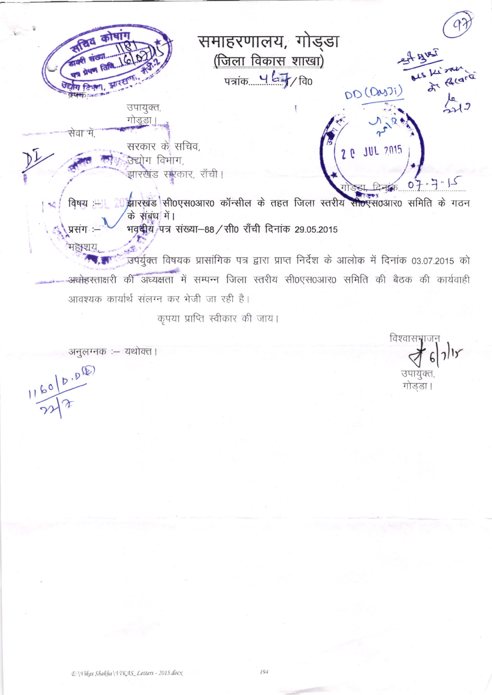समाहरणालय, गोड्डा काषा (जिला विकास शाखा) पत्रांक 467/700 of Rear DD (Das7i  $\frac{1}{2}$ उपायुक्त, गोडुडा। सेवा में सरकार के सचिव, 2 C JUL 2015 उद्योग विभाग रखंड सरकार, राँची।  $\sigma$ झारखंड सी0एस0आर0 कॉन्सील के तहत जिला स्तरीय सीठएस0आर0 समिति के गठन विषय :-के संबंध में। भवदीय पत्र संख्या-88 / सी0 राँची दिनांक 29.05.2015 प्रसंग महाशुर ज्यर्युक्त विषयक प्रासांगिक पत्र द्वारा प्राप्त निर्देश के आलोक में दिनांक 03.07.2015 को .<br>अधोहरताक्षरी की अध्यक्षता में सम्पन्न जिला स्तरीय सी0एस0आर0 समिति की बैठक की कार्यवाही आवश्यक कार्यार्थ संलग्न कर भेजी जा रही है। कृपया प्राप्ति स्वीकार की जाय।

विश्वासभाजन

उपायक्त गोडडा।

 $\mathsf{N}$ 

अनुलग्नक :- यथोक्त ।

 $1160P.000$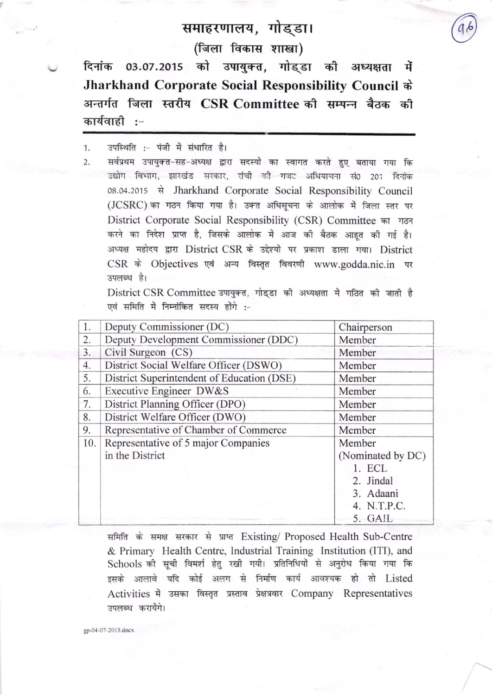## समाहरणालय, गोड्डा।

(जिला विकास शाखा)

दिनांक 03.07.2015 को उपायुक्त, गोड्डा की अध्यक्षता में Jharkhand Corporate Social Responsibility Council के अन्तर्गत जिला स्तरीय CSR Committee की सम्पन्न बैठक की कार्यवाही :-

उपस्थिति :- पंजी में संधारित है। 1.

सर्वप्रथम उपायुक्त-सह-अध्यक्ष द्वारा सदस्यों का स्वागत करते हुए बताया गया कि  $\overline{2}$ . उद्योग विभाग, झारखंड सरकार, रांची की गजट अधियाचना सं0 201 दिनांक 08.04.2015 से Jharkhand Corporate Social Responsibility Council (JCSRC) का गठन किया गया है। उक्त अधिसूचना के आलोक में जिला स्तर पर District Corporate Social Responsibility (CSR) Committee का गठन करने का निदेश प्राप्त है, जिसके आलोक में आज की बैठक आहत की गई है। अध्यक्ष महोदय द्वारा District CSR के उद्देश्यों पर प्रकाश डाला गया। District CSR के Objectives एवं अन्य विस्तृत विवरणी www.godda.nic.in पर उपलब्ध है।

District CSR Committee उपायुक्त, गोड्डा की अध्यक्षता में गठित की जाती है एवं समिति में निम्नांकित सदस्य होंगे :-

| 1.  | Deputy Commissioner (DC)                   | Chairperson       |
|-----|--------------------------------------------|-------------------|
| 2.  | Deputy Development Commissioner (DDC)      | Member            |
| 3.  | Civil Surgeon (CS)                         | Member            |
| 4.  | District Social Welfare Officer (DSWO)     | Member            |
| 5.  | District Superintendent of Education (DSE) | Member            |
| 6.  | Executive Engineer DW&S                    | Member            |
| 7.  | District Planning Officer (DPO)            | Member            |
| 8.  | District Welfare Officer (DWO)             | Member            |
| 9.  | Representative of Chamber of Commerce      | Member            |
| 10. | Representative of 5 major Companies        | Member            |
|     | in the District                            | (Nominated by DC) |
|     |                                            | 1. ECL            |
|     |                                            | 2. Jindal         |
|     |                                            | 3. Adaani         |
|     |                                            | 4. N.T.P.C.       |
|     |                                            | 5. GAIL           |

समिति के समक्ष सरकार से प्राप्त Existing/ Proposed Health Sub-Centre & Primary Health Centre, Industrial Training Institution (ITI), and Schools की सूची विमर्श हेतु रखी गयी। प्रतिनिधियों से अनुरोध किया गया कि इसके आलावे यदि कोई अलग से निर्माण कार्य आवश्यक हो तो Listed Activities में उसका विस्तृत प्रस्ताव प्रेक्षत्रवार Company Representatives उपलब्ध करायेंगे।

gp-04-07-2015.docx